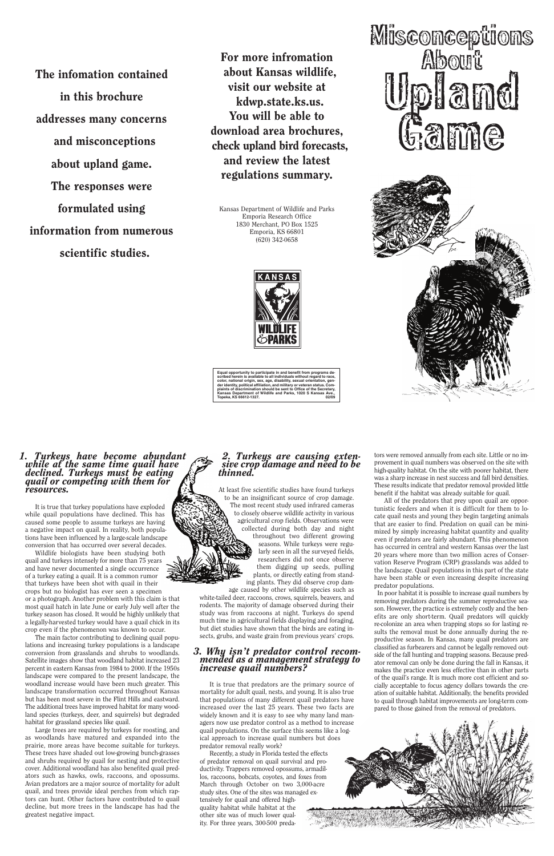#### *1. Turkeys have become abundant while at the same time quail have declined. Turkeys must be eating quail or competing with them for resources.*

It is true that turkey populations have exploded while quail populations have declined. This has caused some people to assume turkeys are having a negative impact on quail. In reality, both populations have been influenced by a large-scale landscape conversion that has occurred over several decades.

Wildlife biologists have been studying both quail and turkeys intensely for more than 75 years and have never documented a single occurrence of a turkey eating a quail. It is a common rumor that turkeys have been shot with quail in their crops but no biologist has ever seen a specimen or a photograph. Another problem with this claim is that most quail hatch in late June or early July well after the turkey season has closed. It would be highly unlikely that a legally-harvested turkey would have a quail chick in its

crop even if the phenomenon was known to occur.

The main factor contributing to declining quail populations and increasing turkey populations is a landscape conversion from grasslands and shrubs to woodlands. Satellite images show that woodland habitat increased 23 percent in eastern Kansas from 1984 to 2000. If the 1950s landscape were compared to the present landscape, the woodland increase would have been much greater. This landscape transformation occurred throughout Kansas but has been most severe in the Flint Hills and eastward. The additional trees have improved habitat for many woodland species (turkeys, deer, and squirrels) but degraded habitat for grassland species like quail.

Large trees are required by turkeys for roosting, and as woodlands have matured and expanded into the prairie, more areas have become suitable for turkeys. These trees have shaded out low-growing bunch-grasses and shrubs required by quail for nesting and protective cover. Additional woodland has also benefited quail predators such as hawks, owls, raccoons, and opossums. Avian predators are a major source of mortality for adult quail, and trees provide ideal perches from which raptors can hunt. Other factors have contributed to quail decline, but more trees in the landscape has had the greatest negative impact.

## *2. Turkeys are causing extensive crop damage and need to be thinned.*

At least five scientific studies have found turkeys to be an insignificant source of crop damage. The most recent study used infrared cameras to closely observe wildlife activity in various agricultural crop fields. Observations were collected during both day and night throughout two different growing seasons. While turkeys were regularly seen in all the surveyed fields, researchers did not once observe them digging up seeds, pulling plants, or directly eating from standing plants. They did observe crop dam-

age caused by other wildlife species such as white-tailed deer, raccoons, crows, squirrels, beavers, and rodents. The majority of damage observed during their study was from raccoons at night. Turkeys do spend much time in agricultural fields displaying and foraging, but diet studies have shown that the birds are eating insects, grubs, and waste grain from previous years' crops.

# *3. Why isn't predator control recommended as a management strategy to increase quail numbers?*

It is true that predators are the primary source of mortality for adult quail, nests, and young. It is also true that populations of many different quail predators have increased over the last 25 years. These two facts are widely known and it is easy to see why many land managers now use predator control as a method to increase quail populations. On the surface this seems like a logical approach to increase quail numbers but does predator removal really work?

Recently, a study in Florida tested the effects of predator removal on quail survival and productivity. Trappers removed opossums, armadillos, raccoons, bobcats, coyotes, and foxes from March through October on two 3,000-acre study sites. One of the sites was managed extensively for quail and offered highquality habitat while habitat at the other site was of much lower quality. For three years, 300-500 preda-



tors were removed annually from each site. Little or no improvement in quail numbers was observed on the site with high-quality habitat. On the site with poorer habitat, there was a sharp increase in nest success and fall bird densities. These results indicate that predator removal provided little benefit if the habitat was already suitable for quail.

All of the predators that prey upon quail are opportunistic feeders and when it is difficult for them to locate quail nests and young they begin targeting animals that are easier to find. Predation on quail can be minimized by simply increasing habitat quantity and quality even if predators are fairly abundant. This phenomenon has occurred in central and western Kansas over the last 20 years where more than two million acres of Conservation Reserve Program (CRP) grasslands was added to the landscape. Quail populations in this part of the state have been stable or even increasing despite increasing predator populations.

In poor habitat it is possible to increase quail numbers by removing predators during the summer reproductive season. However, the practice is extremely costly and the benefits are only short-term. Quail predators will quickly re-colonize an area when trapping stops so for lasting results the removal must be done annually during the reproductive season. In Kansas, many quail predators are classified as furbearers and cannot be legally removed outside of the fall hunting and trapping seasons. Because predator removal can only be done during the fall in Kansas, it makes the practice even less effective than in other parts of the quail's range. It is much more cost efficient and socially acceptable to focus agency dollars towards the creation of suitable habitat. Additionally, the benefits provided to quail through habitat improvements are long-term compared to those gained from the removal of predators.

The infomation contained in this brochure addresses many concerns and misconceptions about upland game. The responses were formulated using information from numerous scientific studies.

For more infromation about Kansas wildlife, visit our website at kdwp.state.ks.us. You will be able to download area brochures, check upland bird forecasts, and review the latest regulations summary.

Kansas Department of Wildlife and Parks Emporia Research Office 1830 Merchant, PO Box 1525 Emporia, KS 66801 (620) 342-0658



**Equal opportunity to participate in and benefit from programs de-scribed herein is available to all individuals without regard to race,** color, national origin, sex, age, disability, sexual orientation, genderic dericantity, political affiliation, and military or veteran status. Complaints of discrimination should be sent to Office of the Secretary, Kansas

# **Misconceptions About** Upland Game